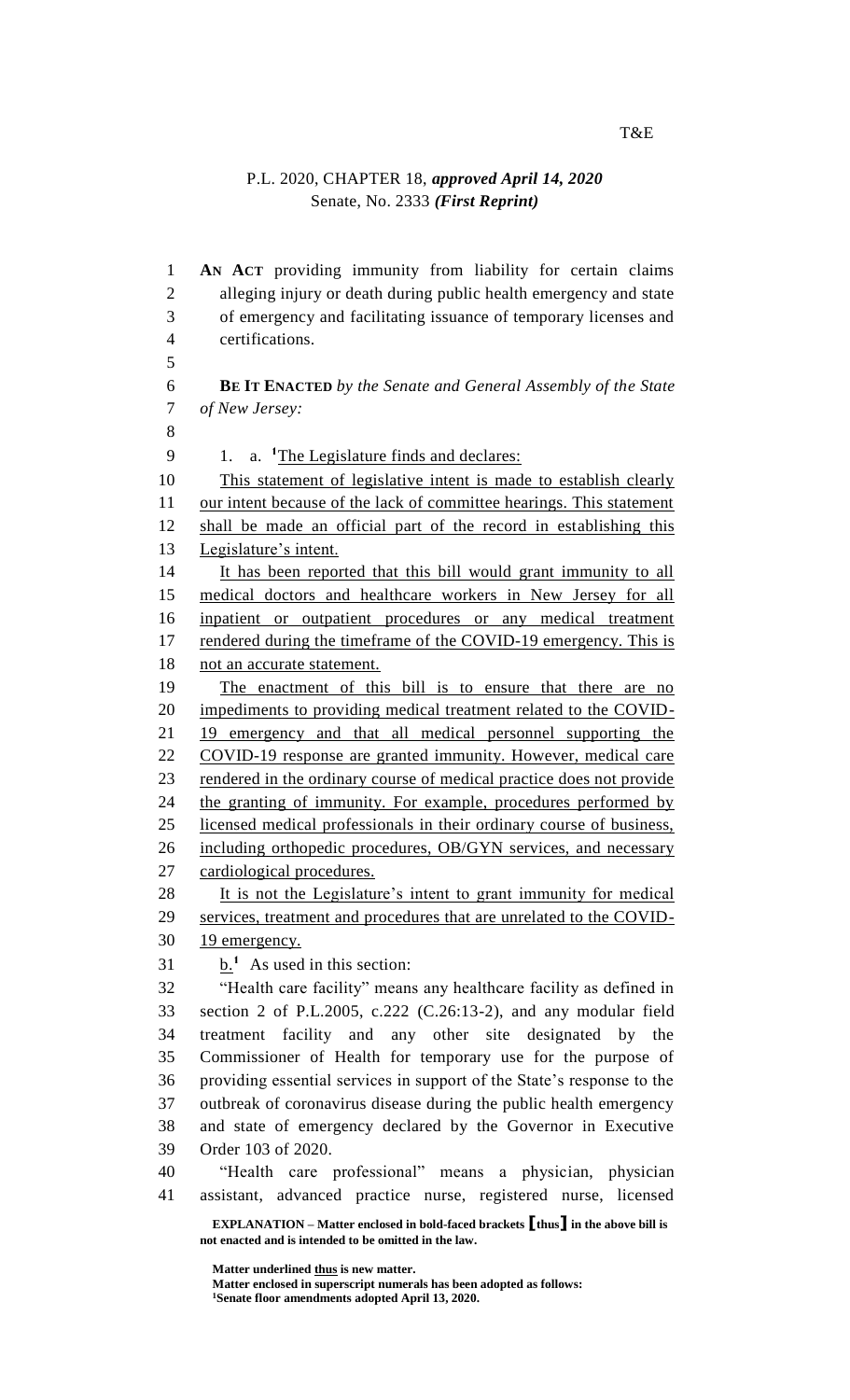## P.L. 2020, CHAPTER 18, *approved April 14, 2020* Senate, No. 2333 *(First Reprint)*

**EXPLANATION – Matter enclosed in bold-faced brackets [thus] in the above bill is not enacted and is intended to be omitted in the law. AN ACT** providing immunity from liability for certain claims alleging injury or death during public health emergency and state of emergency and facilitating issuance of temporary licenses and certifications. **BE IT ENACTED** *by the Senate and General Assembly of the State of New Jersey:* 9 1. a. <sup>1</sup>The Legislature finds and declares: This statement of legislative intent is made to establish clearly our intent because of the lack of committee hearings. This statement shall be made an official part of the record in establishing this Legislature's intent. It has been reported that this bill would grant immunity to all 15 medical doctors and healthcare workers in New Jersey for all inpatient or outpatient procedures or any medical treatment 17 rendered during the timeframe of the COVID-19 emergency. This is 18 not an accurate statement. The enactment of this bill is to ensure that there are no impediments to providing medical treatment related to the COVID- 19 emergency and that all medical personnel supporting the COVID-19 response are granted immunity. However, medical care rendered in the ordinary course of medical practice does not provide the granting of immunity. For example, procedures performed by licensed medical professionals in their ordinary course of business, 26 including orthopedic procedures, OB/GYN services, and necessary cardiological procedures. 28 It is not the Legislature's intent to grant immunity for medical services, treatment and procedures that are unrelated to the COVID- 19 emergency.  $\frac{b}{n}$ <sup>1</sup> As used in this section: "Health care facility" means any healthcare facility as defined in section 2 of P.L.2005, c.222 (C.26:13-2), and any modular field treatment facility and any other site designated by the Commissioner of Health for temporary use for the purpose of providing essential services in support of the State's response to the outbreak of coronavirus disease during the public health emergency and state of emergency declared by the Governor in Executive Order 103 of 2020. "Health care professional" means a physician, physician assistant, advanced practice nurse, registered nurse, licensed

> **Matter underlined thus is new matter. Matter enclosed in superscript numerals has been adopted as follows: Senate floor amendments adopted April 13, 2020.**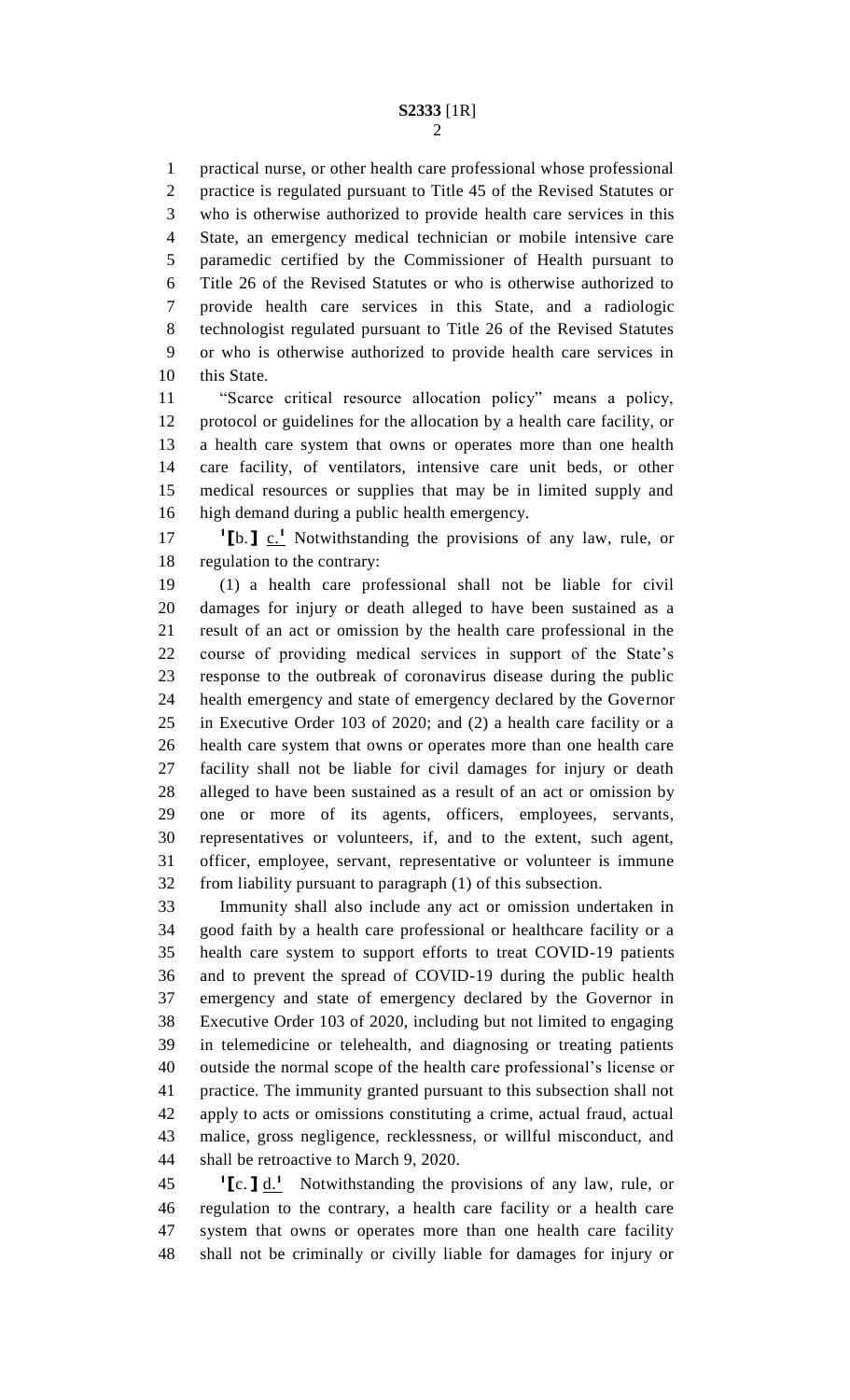practical nurse, or other health care professional whose professional practice is regulated pursuant to Title 45 of the Revised Statutes or who is otherwise authorized to provide health care services in this State, an emergency medical technician or mobile intensive care paramedic certified by the Commissioner of Health pursuant to Title 26 of the Revised Statutes or who is otherwise authorized to provide health care services in this State, and a radiologic technologist regulated pursuant to Title 26 of the Revised Statutes or who is otherwise authorized to provide health care services in 10 this State.

 "Scarce critical resource allocation policy" means a policy, protocol or guidelines for the allocation by a health care facility, or a health care system that owns or operates more than one health care facility, of ventilators, intensive care unit beds, or other medical resources or supplies that may be in limited supply and high demand during a public health emergency.

17  $\textbf{1} \cdot \textbf{1} \cdot \textbf{1} \cdot \textbf{1} \cdot \textbf{1} \cdot \textbf{1} \cdot \textbf{1} \cdot \textbf{1} \cdot \textbf{1} \cdot \textbf{1} \cdot \textbf{1} \cdot \textbf{1} \cdot \textbf{1} \cdot \textbf{1} \cdot \textbf{1} \cdot \textbf{1} \cdot \textbf{1} \cdot \textbf{1} \cdot \textbf{1} \cdot \textbf{1} \cdot \textbf{1} \cdot \textbf{1} \cdot \textbf{1} \cdot \textbf{1} \cdot \textbf{1} \cdot \textbf{1} \cdot \textbf{1} \cdot \$ regulation to the contrary:

 (1) a health care professional shall not be liable for civil damages for injury or death alleged to have been sustained as a result of an act or omission by the health care professional in the course of providing medical services in support of the State's response to the outbreak of coronavirus disease during the public health emergency and state of emergency declared by the Governor in Executive Order 103 of 2020; and (2) a health care facility or a health care system that owns or operates more than one health care facility shall not be liable for civil damages for injury or death alleged to have been sustained as a result of an act or omission by one or more of its agents, officers, employees, servants, representatives or volunteers, if, and to the extent, such agent, officer, employee, servant, representative or volunteer is immune from liability pursuant to paragraph (1) of this subsection.

 Immunity shall also include any act or omission undertaken in good faith by a health care professional or healthcare facility or a health care system to support efforts to treat COVID-19 patients and to prevent the spread of COVID-19 during the public health emergency and state of emergency declared by the Governor in Executive Order 103 of 2020, including but not limited to engaging in telemedicine or telehealth, and diagnosing or treating patients outside the normal scope of the health care professional's license or practice. The immunity granted pursuant to this subsection shall not apply to acts or omissions constituting a crime, actual fraud, actual malice, gross negligence, recklessness, or willful misconduct, and shall be retroactive to March 9, 2020.

 $\textbf{1}$  **[c. ]**  $\underline{\textbf{d}}$ . Notwithstanding the provisions of any law, rule, or regulation to the contrary, a health care facility or a health care system that owns or operates more than one health care facility shall not be criminally or civilly liable for damages for injury or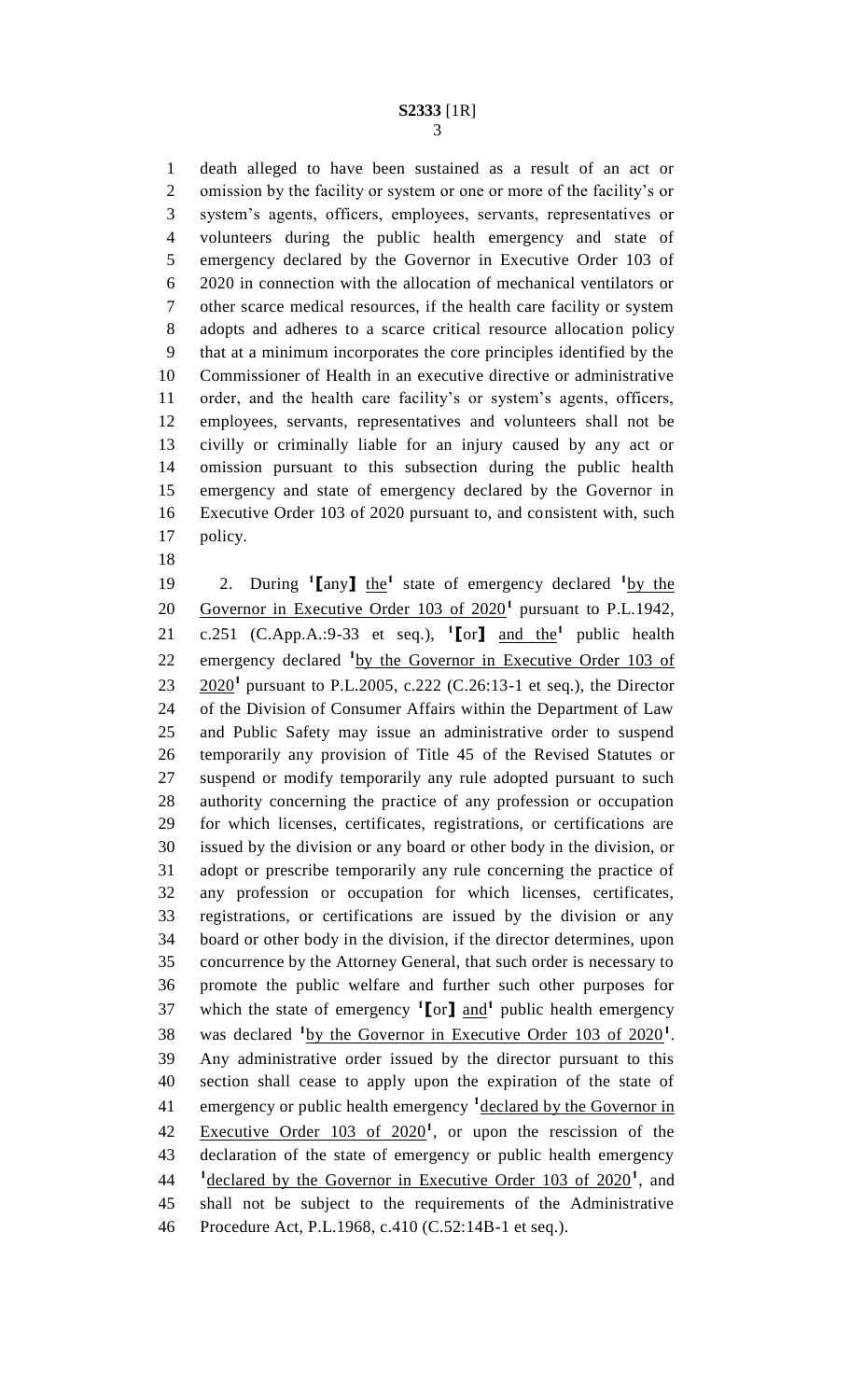death alleged to have been sustained as a result of an act or omission by the facility or system or one or more of the facility's or system's agents, officers, employees, servants, representatives or volunteers during the public health emergency and state of emergency declared by the Governor in Executive Order 103 of 2020 in connection with the allocation of mechanical ventilators or other scarce medical resources, if the health care facility or system adopts and adheres to a scarce critical resource allocation policy that at a minimum incorporates the core principles identified by the Commissioner of Health in an executive directive or administrative order, and the health care facility's or system's agents, officers, employees, servants, representatives and volunteers shall not be civilly or criminally liable for an injury caused by any act or omission pursuant to this subsection during the public health emergency and state of emergency declared by the Governor in Executive Order 103 of 2020 pursuant to, and consistent with, such policy.

19 2. During  $^1$ **[**any**]** the<sup>1</sup> state of emergency declared  $^1$ by the 20 Governor in Executive Order 103 of 2020<sup>1</sup> pursuant to P.L.1942, 21 c.251 (C.App.A.:9-33 et seq.),  $\binom{1}{1}$  and the<sup>1</sup> public health 22 emergency declared <sup>1</sup> by the Governor in Executive Order 103 of 23 2020<sup>1</sup> pursuant to P.L.2005, c.222 (C.26:13-1 et seq.), the Director of the Division of Consumer Affairs within the Department of Law and Public Safety may issue an administrative order to suspend temporarily any provision of Title 45 of the Revised Statutes or suspend or modify temporarily any rule adopted pursuant to such authority concerning the practice of any profession or occupation for which licenses, certificates, registrations, or certifications are issued by the division or any board or other body in the division, or adopt or prescribe temporarily any rule concerning the practice of any profession or occupation for which licenses, certificates, registrations, or certifications are issued by the division or any board or other body in the division, if the director determines, upon concurrence by the Attorney General, that such order is necessary to promote the public welfare and further such other purposes for 37 which the state of emergency  $\binom{1}{1}$  and  $\binom{1}{2}$  public health emergency 38 was declared <sup>1</sup> by the Governor in Executive Order 103 of 2020<sup>1</sup>. Any administrative order issued by the director pursuant to this section shall cease to apply upon the expiration of the state of 41 emergency or public health emergency <sup>1</sup>declared by the Governor in 42 Executive Order of  $2020<sup>1</sup>$ , or upon the rescission of the declaration of the state of emergency or public health emergency <sup>1</sup> declared by the Governor in Executive Order 103 of 2020<sup>1</sup>, and shall not be subject to the requirements of the Administrative Procedure Act, P.L.1968, c.410 (C.52:14B-1 et seq.).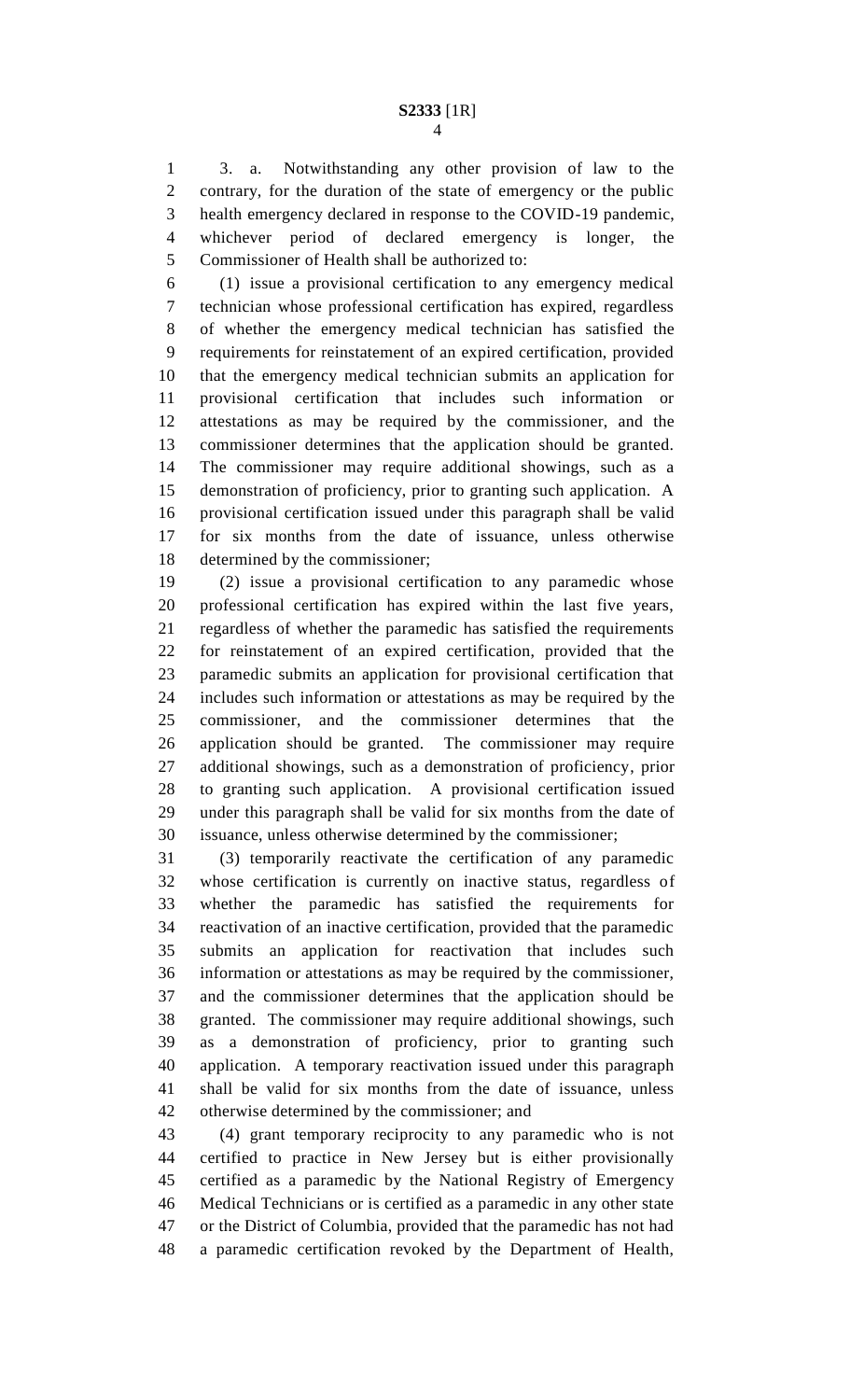3. a. Notwithstanding any other provision of law to the contrary, for the duration of the state of emergency or the public health emergency declared in response to the COVID-19 pandemic, whichever period of declared emergency is longer, the Commissioner of Health shall be authorized to:

 (1) issue a provisional certification to any emergency medical technician whose professional certification has expired, regardless of whether the emergency medical technician has satisfied the requirements for reinstatement of an expired certification, provided that the emergency medical technician submits an application for provisional certification that includes such information or attestations as may be required by the commissioner, and the commissioner determines that the application should be granted. The commissioner may require additional showings, such as a demonstration of proficiency, prior to granting such application. A provisional certification issued under this paragraph shall be valid for six months from the date of issuance, unless otherwise determined by the commissioner;

 (2) issue a provisional certification to any paramedic whose professional certification has expired within the last five years, regardless of whether the paramedic has satisfied the requirements for reinstatement of an expired certification, provided that the paramedic submits an application for provisional certification that includes such information or attestations as may be required by the commissioner, and the commissioner determines that the application should be granted. The commissioner may require additional showings, such as a demonstration of proficiency, prior to granting such application. A provisional certification issued under this paragraph shall be valid for six months from the date of issuance, unless otherwise determined by the commissioner;

 (3) temporarily reactivate the certification of any paramedic whose certification is currently on inactive status, regardless of whether the paramedic has satisfied the requirements for reactivation of an inactive certification, provided that the paramedic submits an application for reactivation that includes such information or attestations as may be required by the commissioner, and the commissioner determines that the application should be granted. The commissioner may require additional showings, such as a demonstration of proficiency, prior to granting such application. A temporary reactivation issued under this paragraph shall be valid for six months from the date of issuance, unless otherwise determined by the commissioner; and

 (4) grant temporary reciprocity to any paramedic who is not certified to practice in New Jersey but is either provisionally certified as a paramedic by the National Registry of Emergency Medical Technicians or is certified as a paramedic in any other state or the District of Columbia, provided that the paramedic has not had a paramedic certification revoked by the Department of Health,